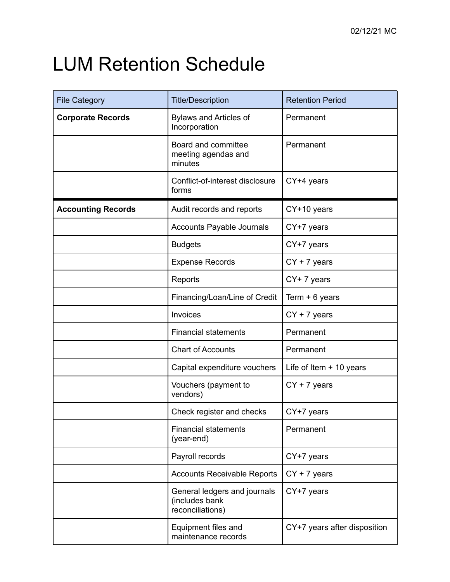## LUM Retention Schedule

| <b>File Category</b>      | <b>Title/Description</b>                                           | <b>Retention Period</b>      |
|---------------------------|--------------------------------------------------------------------|------------------------------|
| <b>Corporate Records</b>  | <b>Bylaws and Articles of</b><br>Incorporation                     | Permanent                    |
|                           | Board and committee<br>meeting agendas and<br>minutes              | Permanent                    |
|                           | Conflict-of-interest disclosure<br>forms                           | CY+4 years                   |
| <b>Accounting Records</b> | Audit records and reports                                          | CY+10 years                  |
|                           | Accounts Payable Journals                                          | CY+7 years                   |
|                           | <b>Budgets</b>                                                     | CY+7 years                   |
|                           | <b>Expense Records</b>                                             | $CY + 7$ years               |
|                           | Reports                                                            | CY+7 years                   |
|                           | Financing/Loan/Line of Credit                                      | Term $+ 6$ years             |
|                           | Invoices                                                           | $CY + 7$ years               |
|                           | <b>Financial statements</b>                                        | Permanent                    |
|                           | <b>Chart of Accounts</b>                                           | Permanent                    |
|                           | Capital expenditure vouchers                                       | Life of Item $+$ 10 years    |
|                           | Vouchers (payment to<br>vendors)                                   | $CY + 7$ years               |
|                           | Check register and checks                                          | CY+7 years                   |
|                           | <b>Financial statements</b><br>(year-end)                          | Permanent                    |
|                           | Payroll records                                                    | CY+7 years                   |
|                           | <b>Accounts Receivable Reports</b>                                 | $CY + 7$ years               |
|                           | General ledgers and journals<br>(includes bank<br>reconciliations) | CY+7 years                   |
|                           | Equipment files and<br>maintenance records                         | CY+7 years after disposition |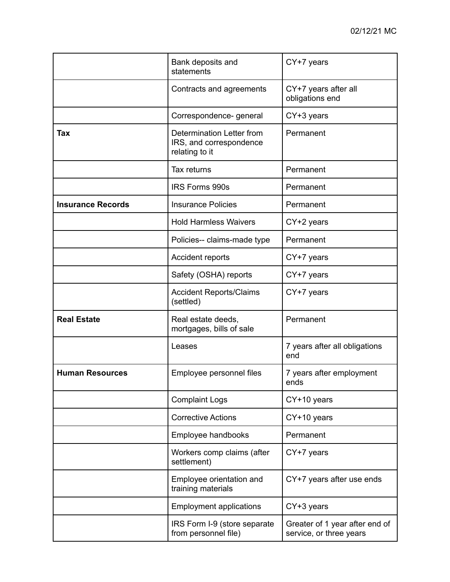|                          | Bank deposits and<br>statements                                        | CY+7 years                                                |
|--------------------------|------------------------------------------------------------------------|-----------------------------------------------------------|
|                          | Contracts and agreements                                               | CY+7 years after all<br>obligations end                   |
|                          | Correspondence- general                                                | CY+3 years                                                |
| Tax                      | Determination Letter from<br>IRS, and correspondence<br>relating to it | Permanent                                                 |
|                          | Tax returns                                                            | Permanent                                                 |
|                          | <b>IRS Forms 990s</b>                                                  | Permanent                                                 |
| <b>Insurance Records</b> | <b>Insurance Policies</b>                                              | Permanent                                                 |
|                          | <b>Hold Harmless Waivers</b>                                           | CY+2 years                                                |
|                          | Policies-- claims-made type                                            | Permanent                                                 |
|                          | Accident reports                                                       | CY+7 years                                                |
|                          | Safety (OSHA) reports                                                  | CY+7 years                                                |
|                          | <b>Accident Reports/Claims</b><br>(settled)                            | CY+7 years                                                |
| <b>Real Estate</b>       | Real estate deeds,<br>mortgages, bills of sale                         | Permanent                                                 |
|                          | Leases                                                                 | 7 years after all obligations<br>end                      |
| <b>Human Resources</b>   | Employee personnel files                                               | 7 years after employment<br>ends                          |
|                          | <b>Complaint Logs</b>                                                  | CY+10 years                                               |
|                          | <b>Corrective Actions</b>                                              | CY+10 years                                               |
|                          | Employee handbooks                                                     | Permanent                                                 |
|                          | Workers comp claims (after<br>settlement)                              | CY+7 years                                                |
|                          | Employee orientation and<br>training materials                         | CY+7 years after use ends                                 |
|                          | <b>Employment applications</b>                                         | CY+3 years                                                |
|                          | IRS Form I-9 (store separate<br>from personnel file)                   | Greater of 1 year after end of<br>service, or three years |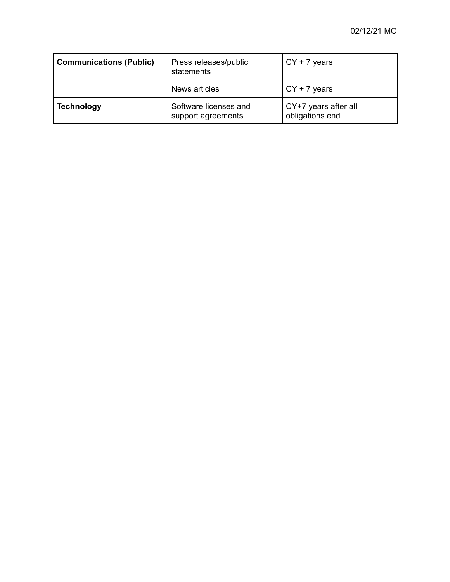| <b>Communications (Public)</b> | Press releases/public<br>statements         | $\sqrt{CY} + 7$ years                   |
|--------------------------------|---------------------------------------------|-----------------------------------------|
|                                | News articles                               | $\sqrt{CY} + 7$ years                   |
| <b>Technology</b>              | Software licenses and<br>support agreements | CY+7 years after all<br>obligations end |